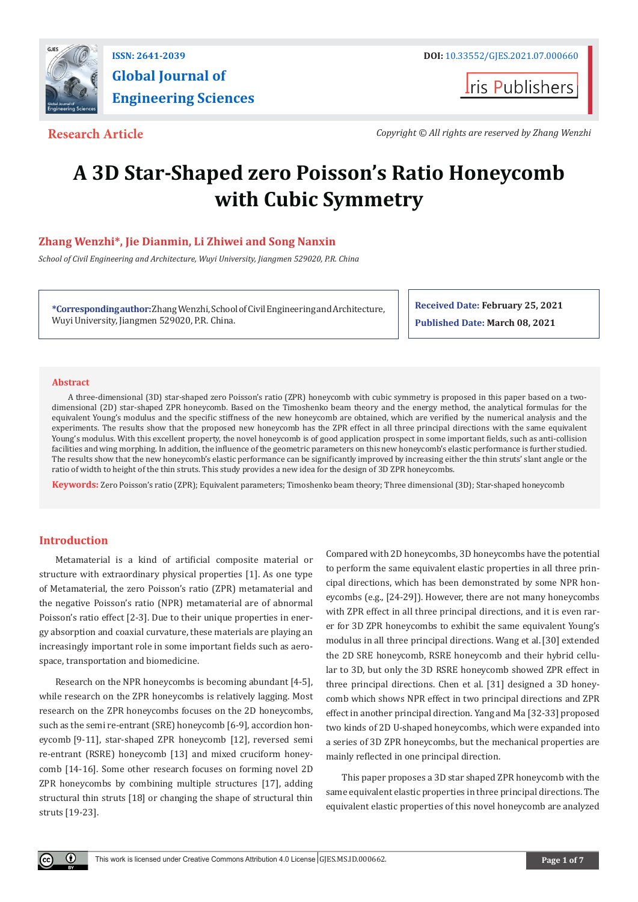

**Global Journal of Engineering Sciences**

**Iris Publishers** 

**Research Article** *Copyright © All rights are reserved by Zhang Wenzhi*

# **A 3D Star-Shaped zero Poisson's Ratio Honeycomb with Cubic Symmetry**

# **Zhang Wenzhi\*, Jie Dianmin, Li Zhiwei and Song Nanxin**

*School of Civil Engineering and Architecture, Wuyi University, Jiangmen 529020, P.R. China*

**\*Corresponding author:**Zhang Wenzhi, School of Civil Engineering and Architecture, Wuyi University, Jiangmen 529020, P.R. China.

**Received Date: February 25, 2021 Published Date: March 08, 2021**

### **Abstract**

A three-dimensional (3D) star-shaped zero Poisson's ratio (ZPR) honeycomb with cubic symmetry is proposed in this paper based on a twodimensional (2D) star-shaped ZPR honeycomb. Based on the Timoshenko beam theory and the energy method, the analytical formulas for the equivalent Young's modulus and the specific stiffness of the new honeycomb are obtained, which are verified by the numerical analysis and the experiments. The results show that the proposed new honeycomb has the ZPR effect in all three principal directions with the same equivalent Young's modulus. With this excellent property, the novel honeycomb is of good application prospect in some important fields, such as anti-collision facilities and wing morphing. In addition, the influence of the geometric parameters on this new honeycomb's elastic performance is further studied. The results show that the new honeycomb's elastic performance can be significantly improved by increasing either the thin struts' slant angle or the ratio of width to height of the thin struts. This study provides a new idea for the design of 3D ZPR honeycombs.

**Keywords:** Zero Poisson's ratio (ZPR); Equivalent parameters; Timoshenko beam theory; Three dimensional (3D); Star-shaped honeycomb

# **Introduction**

 $\bf \bf 0$ 

Metamaterial is a kind of artificial composite material or structure with extraordinary physical properties [1]. As one type of Metamaterial, the zero Poisson's ratio (ZPR) metamaterial and the negative Poisson's ratio (NPR) metamaterial are of abnormal Poisson's ratio effect [2-3]. Due to their unique properties in energy absorption and coaxial curvature, these materials are playing an increasingly important role in some important fields such as aerospace, transportation and biomedicine.

Research on the NPR honeycombs is becoming abundant [4-5], while research on the ZPR honeycombs is relatively lagging. Most research on the ZPR honeycombs focuses on the 2D honeycombs, such as the semi re-entrant (SRE) honeycomb [6-9], accordion honeycomb [9-11], star-shaped ZPR honeycomb [12], reversed semi re-entrant (RSRE) honeycomb [13] and mixed cruciform honeycomb [14-16]. Some other research focuses on forming novel 2D ZPR honeycombs by combining multiple structures [17], adding structural thin struts [18] or changing the shape of structural thin struts [19-23].

Compared with 2D honeycombs, 3D honeycombs have the potential to perform the same equivalent elastic properties in all three principal directions, which has been demonstrated by some NPR honeycombs (e.g., [24-29]). However, there are not many honeycombs with ZPR effect in all three principal directions, and it is even rarer for 3D ZPR honeycombs to exhibit the same equivalent Young's modulus in all three principal directions. Wang et al.[30] extended the 2D SRE honeycomb, RSRE honeycomb and their hybrid cellular to 3D, but only the 3D RSRE honeycomb showed ZPR effect in three principal directions. Chen et al. [31] designed a 3D honeycomb which shows NPR effect in two principal directions and ZPR effect in another principal direction. Yang and Ma [32-33] proposed two kinds of 2D U-shaped honeycombs, which were expanded into a series of 3D ZPR honeycombs, but the mechanical properties are mainly reflected in one principal direction.

This paper proposes a 3D star shaped ZPR honeycomb with the same equivalent elastic properties in three principal directions. The equivalent elastic properties of this novel honeycomb are analyzed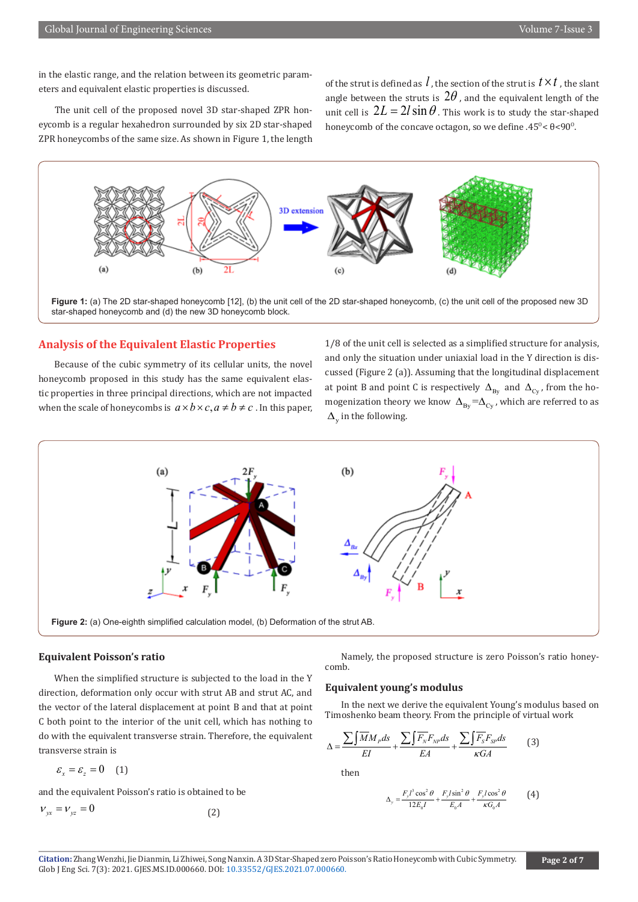in the elastic range, and the relation between its geometric parameters and equivalent elastic properties is discussed.

The unit cell of the proposed novel 3D star-shaped ZPR honeycomb is a regular hexahedron surrounded by six 2D star-shaped ZPR honeycombs of the same size. As shown in Figure 1, the length of the strut is defined as  $l$ , the section of the strut is  $t \times t$ , the slant angle between the struts is  $2\theta$ , and the equivalent length of the unit cell is  $2L = 2l \sin \theta$ . This work is to study the star-shaped honeycomb of the concave octagon, so we define .45 $\degree$   $\div$   $\theta$  <90 $\degree$ .



**Figure 1:** (a) The 2D star-shaped honeycomb [12], (b) the unit cell of the 2D star-shaped honeycomb, (c) the unit cell of the proposed new 3D star-shaped honeycomb and (d) the new 3D honeycomb block.

# **Analysis of the Equivalent Elastic Properties**

Because of the cubic symmetry of its cellular units, the novel honeycomb proposed in this study has the same equivalent elastic properties in three principal directions, which are not impacted when the scale of honeycombs is  $a \times b \times c$ ,  $a \neq b \neq c$ . In this paper, 1/8 of the unit cell is selected as a simplified structure for analysis, and only the situation under uniaxial load in the Y direction is discussed (Figure 2 (a)). Assuming that the longitudinal displacement at point B and point C is respectively  $\Delta_{\text{By}}$  and  $\Delta_{\text{Cy}}$ , from the homogenization theory we know  $\Delta_{\text{By}} = \Delta_{\text{Cy}}$ , which are referred to as  $\Delta_{\rm v}$  in the following.



#### **Equivalent Poisson's ratio**

When the simplified structure is subjected to the load in the Y direction, deformation only occur with strut AB and strut AC, and the vector of the lateral displacement at point B and that at point C both point to the interior of the unit cell, which has nothing to do with the equivalent transverse strain. Therefore, the equivalent transverse strain is

$$
\varepsilon_{x} = \varepsilon_{z} = 0 \quad (1)
$$

and the equivalent Poisson's ratio is obtained to be

$$
V_{yx} = V_{yz} = 0
$$
 (2)

Namely, the proposed structure is zero Poisson's ratio honeycomb.

#### **Equivalent young's modulus**

In the next we derive the equivalent Young's modulus based on Timoshenko beam theory. From the principle of virtual work

$$
\Delta = \frac{\sum \int \overline{M} M_p ds}{EI} + \frac{\sum \int \overline{F_N} F_{NP} ds}{EA} + \frac{\sum \int \overline{F_S} F_{SP} ds}{\kappa GA} \tag{3}
$$

then

$$
\Delta_y = \frac{F_y l^3 \cos^2 \theta}{12E_0 I} + \frac{F_y l \sin^2 \theta}{E_0 A} + \frac{F_y l \cos^2 \theta}{\kappa G_0 A} \tag{4}
$$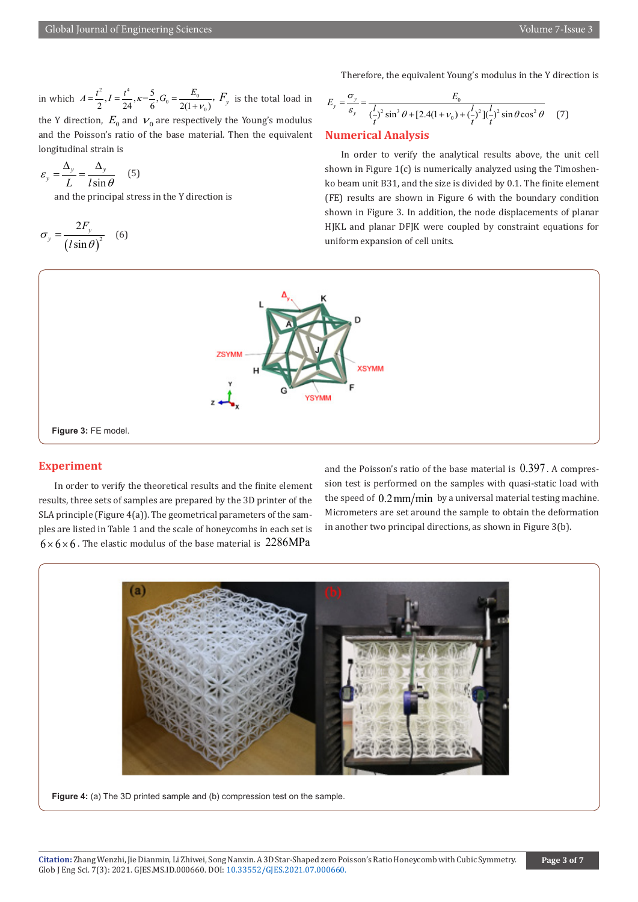in which  $A = \frac{t^2}{2}$ ,  $I = \frac{t^4}{24}$ ,  $\kappa = \frac{5}{6}$ ,  $G_0 = \frac{E_0}{2(1 + v_0)}$ ,  $F_y$  is the total load in the Y direction,  $E_0$  and  $v_0$  are respectively the Young's modulus and the Poisson's ratio of the base material. Then the equivalent longitudinal strain is

$$
\varepsilon_y = \frac{\Delta_y}{L} = \frac{\Delta_y}{l \sin \theta} \quad (5)
$$

and the principal stress in the Y direction is

$$
\sigma_y = \frac{2F_y}{(l\sin\theta)^2} \quad (6)
$$

Therefore, the equivalent Young's modulus in the Y direction is

$$
E_y = \frac{\sigma_y}{\varepsilon_y} = \frac{E_0}{(\frac{l}{t})^2 \sin^3 \theta + [2.4(1 + \nu_0) + (\frac{l}{t})^2](\frac{l}{t})^2 \sin \theta \cos^2 \theta}
$$
 (7)

# **Numerical Analysis**

In order to verify the analytical results above, the unit cell shown in Figure 1(c) is numerically analyzed using the Timoshenko beam unit B31, and the size is divided by 0.1. The finite element (FE) results are shown in Figure 6 with the boundary condition shown in Figure 3. In addition, the node displacements of planar HJKL and planar DFJK were coupled by constraint equations for uniform expansion of cell units.



# **Experiment**

In order to verify the theoretical results and the finite element results, three sets of samples are prepared by the 3D printer of the SLA principle (Figure 4(a)). The geometrical parameters of the samples are listed in Table 1 and the scale of honeycombs in each set is  $6 \times 6 \times 6$ . The elastic modulus of the base material is 2286MPa

and the Poisson's ratio of the base material is  $0.397$ . A compression test is performed on the samples with quasi-static load with the speed of  $0.2 \text{mm/min}$  by a universal material testing machine. Micrometers are set around the sample to obtain the deformation in another two principal directions, as shown in Figure 3(b).



**Figure 4:** (a) The 3D printed sample and (b) compression test on the sample.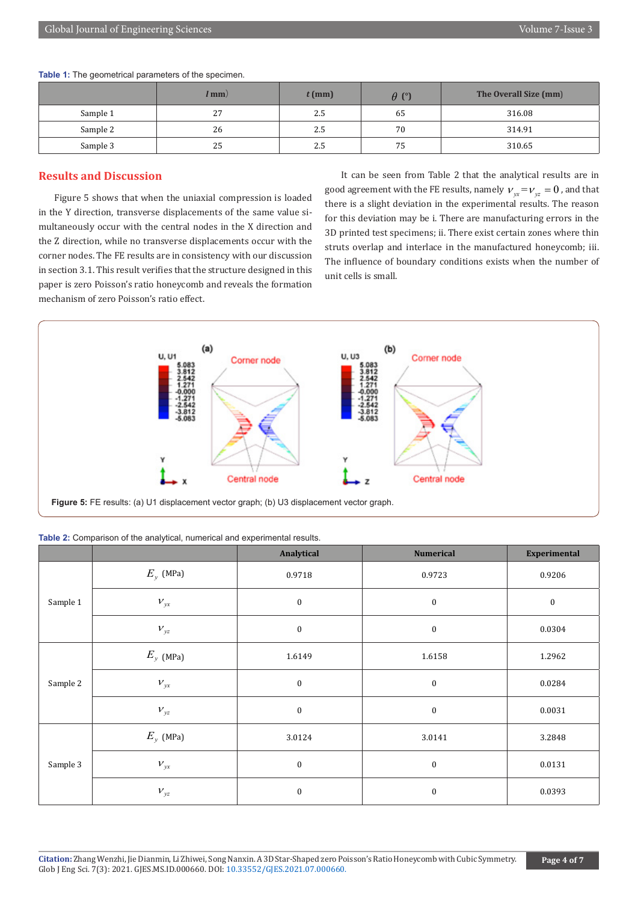**Table 1:** The geometrical parameters of the specimen.

|          | /mm | $t$ (mm) | $\theta$ (°) | The Overall Size (mm) |
|----------|-----|----------|--------------|-----------------------|
| Sample 1 | 27  | 2.5      | 65           | 316.08                |
| Sample 2 | 26  | 2.5      | 70           | 314.91                |
| Sample 3 | 25  | 2.5      | 75           | 310.65                |

# **Results and Discussion**

Figure 5 shows that when the uniaxial compression is loaded in the Y direction, transverse displacements of the same value simultaneously occur with the central nodes in the X direction and the Z direction, while no transverse displacements occur with the corner nodes. The FE results are in consistency with our discussion in section 3.1. This result verifies that the structure designed in this paper is zero Poisson's ratio honeycomb and reveals the formation mechanism of zero Poisson's ratio effect.

It can be seen from Table 2 that the analytical results are in good agreement with the FE results, namely  $v_{xx} = v_{yz} = 0$ , and that there is a slight deviation in the experimental results. The reason for this deviation may be i. There are manufacturing errors in the 3D printed test specimens; ii. There exist certain zones where thin struts overlap and interlace in the manufactured honeycomb; iii. The influence of boundary conditions exists when the number of unit cells is small.



| <b>Table 2:</b> Comparison of the analytical, numerical and experimental results. |             |            |                  |  |  |  |
|-----------------------------------------------------------------------------------|-------------|------------|------------------|--|--|--|
|                                                                                   |             | Analytical | <b>Numerical</b> |  |  |  |
|                                                                                   | $E_v$ (MPa) | 0.9718     | 0.9723           |  |  |  |

| <b>Table 2:</b> Comparison of the analytical, numerical and experimental results. |  |
|-----------------------------------------------------------------------------------|--|
|-----------------------------------------------------------------------------------|--|

|          |                                  | $\sim$ $\sim$ $\sim$ |                  | $\mathbf{r}$ . The set of $\mathbf{r}$<br>and the control of the con- |
|----------|----------------------------------|----------------------|------------------|-----------------------------------------------------------------------|
| Sample 1 | $E_{y}$ (MPa)                    | 0.9718               | 0.9723           | 0.9206                                                                |
|          | $\ensuremath{\nu_{\mathrm{yx}}}$ | $\boldsymbol{0}$     | $\boldsymbol{0}$ | $\pmb{0}$                                                             |
|          | $V_{yz}$                         | $\boldsymbol{0}$     | $\boldsymbol{0}$ | 0.0304                                                                |
| Sample 2 | $E_{y}$ (MPa)                    | 1.6149               | 1.6158           | 1.2962                                                                |
|          | $V_{yx}$                         | $\boldsymbol{0}$     | $\bf{0}$         | 0.0284                                                                |
|          | $V_{yz}$                         | $\boldsymbol{0}$     | $\bf{0}$         | 0.0031                                                                |
| Sample 3 | $E_y$ (MPa)                      | 3.0124               | 3.0141           | 3.2848                                                                |
|          | $V_{yx}$                         | $\boldsymbol{0}$     | $\bf{0}$         | 0.0131                                                                |
|          | $V_{yz}$                         | $\boldsymbol{0}$     | $\bf{0}$         | 0.0393                                                                |

**Experimental**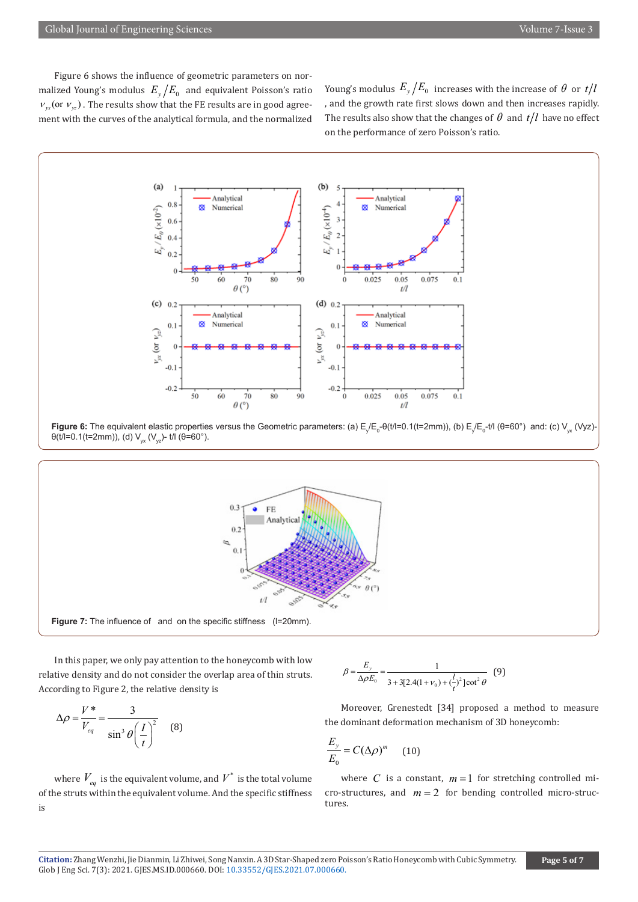Figure 6 shows the influence of geometric parameters on normalized Young's modulus  $E_y/E_0$  and equivalent Poisson's ratio  $v_{yx}$  (or  $v_{yx}$ ). The results show that the FE results are in good agreement with the curves of the analytical formula, and the normalized

Young's modulus  $E_y/E_0$  increases with the increase of  $\theta$  or  $t/l$ , and the growth rate first slows down and then increases rapidly. The results also show that the changes of  $\theta$  and  $t/l$  have no effect on the performance of zero Poisson's ratio.



**Figure 6:** The equivalent elastic properties versus the Geometric parameters: (a) E<sub>χ</sub>/E<sub>o</sub>-θ(t/l=0.1(t=2mm)), (b) E<sub>χ</sub>/E<sub>o</sub>-t/l (θ=60°) and: (c) V<sub>yx</sub> (Vyz)θ(t/l=0.1(t=2mm)), (d)  $V_{yx}$  (V<sub>yz</sub>)- t/l (θ=60°).





In this paper, we only pay attention to the honeycomb with low relative density and do not consider the overlap area of thin struts. According to Figure 2, the relative density is

$$
\Delta \rho = \frac{V^*}{V_{eq}} = \frac{3}{\sin^3 \theta \left(\frac{I}{t}\right)^2} \quad (8)
$$

where  $V_{ea}$  is the equivalent volume, and  $V^*$  is the total volume of the struts within the equivalent volume. And the specific stiffness is

$$
\beta = \frac{E_y}{\Delta \rho E_0} = \frac{1}{3 + 3[2.4(1 + \nu_0) + (\frac{l}{t})^2] \cot^2 \theta} \tag{9}
$$

Moreover, Grenestedt [34] proposed a method to measure the dominant deformation mechanism of 3D honeycomb:

$$
\frac{E_y}{E_0} = C(\Delta \rho)^m \qquad (10)
$$

where *C* is a constant,  $m=1$  for stretching controlled micro-structures, and  $m = 2$  for bending controlled micro-structures.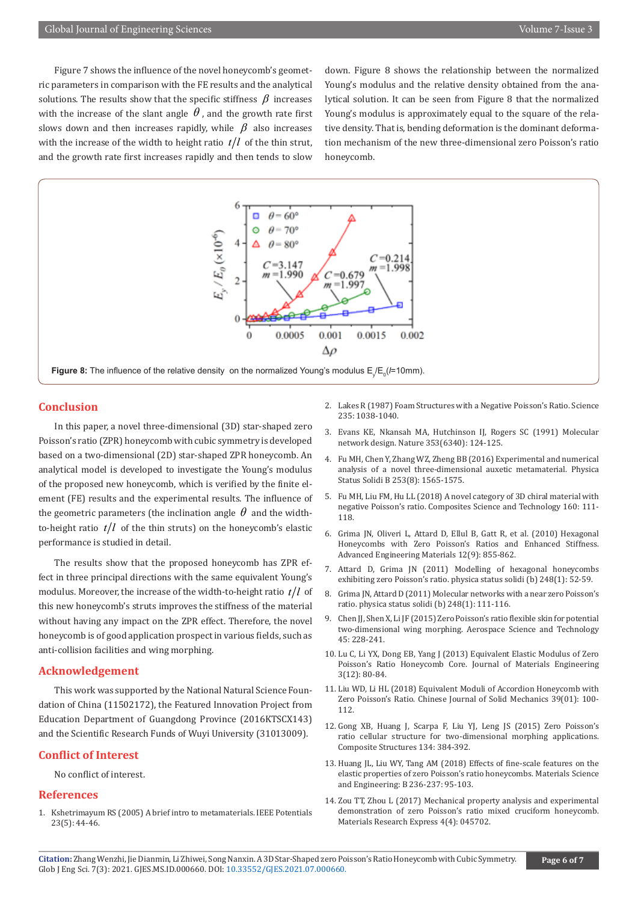Figure 7 shows the influence of the novel honeycomb's geometric parameters in comparison with the FE results and the analytical solutions. The results show that the specific stiffness  $\beta$  increases with the increase of the slant angle  $\theta$ , and the growth rate first slows down and then increases rapidly, while  $\beta$  also increases with the increase of the width to height ratio  $t/l$  of the thin strut, and the growth rate first increases rapidly and then tends to slow

down. Figure 8 shows the relationship between the normalized Young's modulus and the relative density obtained from the analytical solution. It can be seen from Figure 8 that the normalized Young's modulus is approximately equal to the square of the relative density. That is, bending deformation is the dominant deformation mechanism of the new three-dimensional zero Poisson's ratio honeycomb.



**Conclusion**

In this paper, a novel three-dimensional (3D) star-shaped zero Poisson's ratio (ZPR) honeycomb with cubic symmetry is developed based on a two-dimensional (2D) star-shaped ZPR honeycomb. An analytical model is developed to investigate the Young's modulus of the proposed new honeycomb, which is verified by the finite element (FE) results and the experimental results. The influence of the geometric parameters (the inclination angle  $\theta$  and the widthto-height ratio  $t/l$  of the thin struts) on the honeycomb's elastic performance is studied in detail.

The results show that the proposed honeycomb has ZPR effect in three principal directions with the same equivalent Young's modulus. Moreover, the increase of the width-to-height ratio  $t/l$  of this new honeycomb's struts improves the stiffness of the material without having any impact on the ZPR effect. Therefore, the novel honeycomb is of good application prospect in various fields, such as anti-collision facilities and wing morphing.

#### **Acknowledgement**

This work was supported by the National Natural Science Foundation of China (11502172), the Featured Innovation Project from Education Department of Guangdong Province (2016KTSCX143) and the Scientific Research Funds of Wuyi University (31013009).

# **Conflict of Interest**

No conflict of interest.

#### **References**

1. Kshetrimayum RS (2005) A brief intro to metamaterials. IEEE Potentials 23(5): 44-46.

- 2. Lakes R (1987) Foam Structures with a Negative Poisson's Ratio. Science 235: 1038-1040.
- 3. Evans KE, Nkansah MA, Hutchinson IJ, Rogers SC (1991) Molecular network design. Nature 353(6340): 124-125.
- 4. Fu MH, Chen Y, Zhang WZ, Zheng BB (2016) Experimental and numerical analysis of a novel three-dimensional auxetic metamaterial. Physica Status Solidi B 253(8): 1565-1575.
- 5. Fu MH, Liu FM, Hu LL (2018) A novel category of 3D chiral material with negative Poisson's ratio. Composites Science and Technology 160: 111- 118.
- 6. Grima JN, Oliveri L, Attard D, Ellul B, Gatt R, et al. (2010) Hexagonal Honeycombs with Zero Poisson's Ratios and Enhanced Stiffness. Advanced Engineering Materials 12(9): 855-862.
- 7. Attard D, Grima JN (2011) Modelling of hexagonal honeycombs exhibiting zero Poisson's ratio. physica status solidi (b) 248(1): 52-59.
- 8. Grima JN, Attard D (2011) Molecular networks with a near zero Poisson's ratio. physica status solidi (b) 248(1): 111-116.
- 9. Chen JJ, Shen X, Li JF (2015) Zero Poisson's ratio flexible skin for potential two-dimensional wing morphing. Aerospace Science and Technology 45: 228-241.
- 10. Lu C, Li YX, Dong EB, Yang J (2013) Equivalent Elastic Modulus of Zero Poisson's Ratio Honeycomb Core. Journal of Materials Engineering 3(12): 80-84.
- 11. Liu WD, Li HL (2018) Equivalent Moduli of Accordion Honeycomb with Zero Poisson's Ratio. Chinese Journal of Solid Mechanics 39(01): 100- 112.
- 12. Gong XB, Huang J, Scarpa F, Liu YJ, Leng JS (2015) Zero Poisson's ratio cellular structure for two-dimensional morphing applications. Composite Structures 134: 384-392.
- 13. Huang JL, Liu WY, Tang AM (2018) Effects of fine-scale features on the elastic properties of zero Poisson's ratio honeycombs. Materials Science and Engineering: B 236-237: 95-103.
- 14. Zou TT, Zhou L (2017) Mechanical property analysis and experimental demonstration of zero Poisson's ratio mixed cruciform honeycomb. Materials Research Express 4(4): 045702.